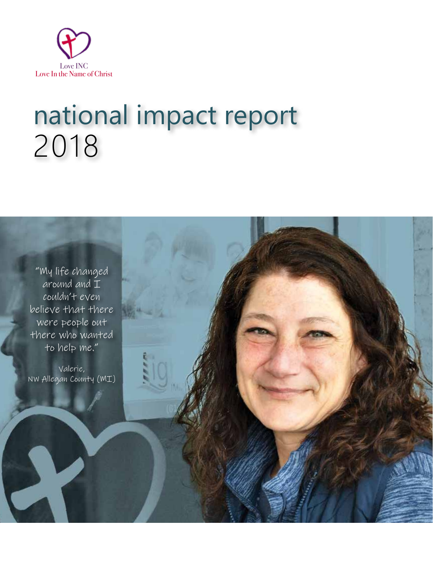

# national impact report 2018



Valerie, NW Allegan County (MI)

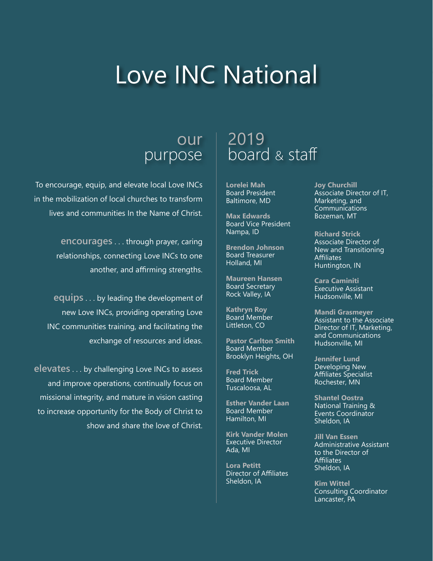# Love INC National

### our purpose

To encourage, equip, and elevate local Love INCs in the mobilization of local churches to transform lives and communities In the Name of Christ.

> **encourages** . . . through prayer, caring relationships, connecting Love INCs to one another, and affirming strengths.

**equips** . . . by leading the development of new Love INCs, providing operating Love INC communities training, and facilitating the exchange of resources and ideas.

**elevates** . . . by challenging Love INCs to assess and improve operations, continually focus on missional integrity, and mature in vision casting to increase opportunity for the Body of Christ to show and share the love of Christ.

## 2019 board & staff

**Lorelei Mah** Board President Baltimore, MD

**Max Edwards** Board Vice President Nampa, ID

**Brendon Johnson** Board Treasurer Holland, MI

**Maureen Hansen** Board Secretary Rock Valley, IA

**Kathryn Roy** Board Member Littleton, CO

**Pastor Carlton Smith** Board Member Brooklyn Heights, OH

**Fred Trick** Board Member Tuscaloosa, AL

**Esther Vander Laan** Board Member Hamilton, MI

**Kirk Vander Molen** Executive Director Ada, MI

**Lora Petitt** Director of Affiliates Sheldon, IA

**Joy Churchill** Associate Director of IT, Marketing, and Communications Bozeman, MT

**Richard Strick** Associate Director of New and Transitioning **Affiliates** Huntington, IN

**Cara Caminiti**  Executive Assistant Hudsonville, MI

**Mandi Grasmeyer** Assistant to the Associate Director of IT, Marketing, and Communications Hudsonville, MI

**Jennifer Lund** Developing New Affiliates Specialist Rochester, MN

**Shantel Oostra** National Training & Events Coordinator Sheldon, IA

**Jill Van Essen** Administrative Assistant to the Director of **Affiliates** Sheldon, IA

**Kim Wittel** Consulting Coordinator Lancaster, PA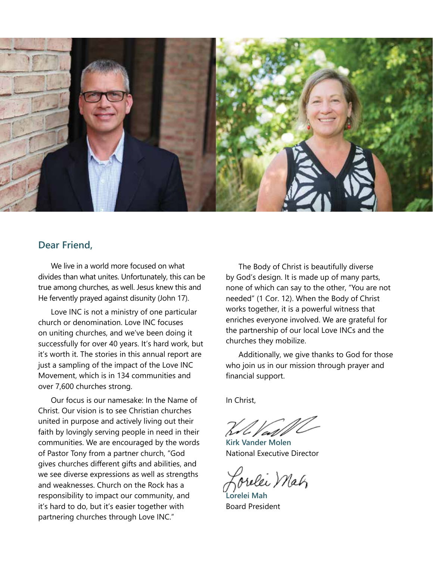

### **Dear Friend,**

We live in a world more focused on what divides than what unites. Unfortunately, this can be true among churches, as well. Jesus knew this and He fervently prayed against disunity (John 17).

Love INC is not a ministry of one particular church or denomination. Love INC focuses on uniting churches, and we've been doing it successfully for over 40 years. It's hard work, but it's worth it. The stories in this annual report are just a sampling of the impact of the Love INC Movement, which is in 134 communities and over 7,600 churches strong.

Our focus is our namesake: In the Name of Christ. Our vision is to see Christian churches united in purpose and actively living out their faith by lovingly serving people in need in their communities. We are encouraged by the words of Pastor Tony from a partner church, "God gives churches different gifts and abilities, and we see diverse expressions as well as strengths and weaknesses. Church on the Rock has a responsibility to impact our community, and it's hard to do, but it's easier together with partnering churches through Love INC."

The Body of Christ is beautifully diverse by God's design. It is made up of many parts, none of which can say to the other, "You are not needed" (1 Cor. 12). When the Body of Christ works together, it is a powerful witness that enriches everyone involved. We are grateful for the partnership of our local Love INCs and the churches they mobilize.

Additionally, we give thanks to God for those who join us in our mission through prayer and financial support.

In Christ,

**Kirk Vander Molen** National Executive Director

relei Mah

**Lorelei Mah** Board President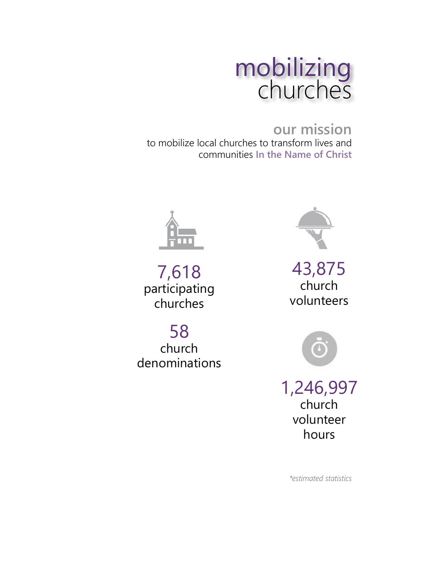

## **our mission**

to mobilize local churches to transform lives and communities **In the Name of Christ**



7,618 participating churches

58 church denominations



43,875 church volunteers



1,246,997 church volunteer hours

*\*estimated statistics*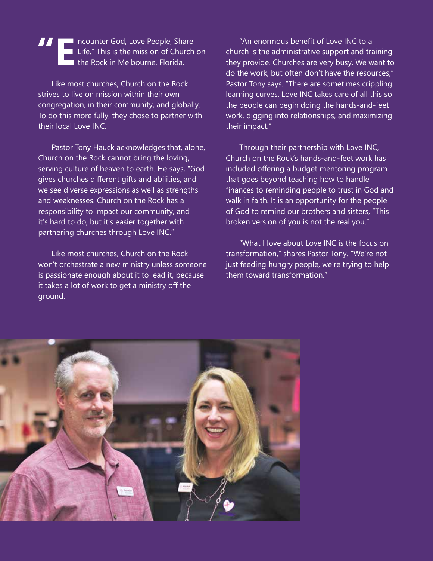**TE IN THE NEW AREA** ncounter God, Love People, Share<br>Life." This is the mission of Church<br>the Rock in Melbourne, Florida. Life." This is the mission of Church on the Rock in Melbourne, Florida.

Like most churches, Church on the Rock strives to live on mission within their own congregation, in their community, and globally. To do this more fully, they chose to partner with their local Love INC.

Pastor Tony Hauck acknowledges that, alone, Church on the Rock cannot bring the loving, serving culture of heaven to earth. He says, "God gives churches different gifts and abilities, and we see diverse expressions as well as strengths and weaknesses. Church on the Rock has a responsibility to impact our community, and it's hard to do, but it's easier together with partnering churches through Love INC."

Like most churches, Church on the Rock won't orchestrate a new ministry unless someone is passionate enough about it to lead it, because it takes a lot of work to get a ministry off the ground.

"An enormous benefit of Love INC to a church is the administrative support and training they provide. Churches are very busy. We want to do the work, but often don't have the resources," Pastor Tony says. "There are sometimes crippling learning curves. Love INC takes care of all this so the people can begin doing the hands-and-feet work, digging into relationships, and maximizing their impact."

Through their partnership with Love INC, Church on the Rock's hands-and-feet work has included offering a budget mentoring program that goes beyond teaching how to handle finances to reminding people to trust in God and walk in faith. It is an opportunity for the people of God to remind our brothers and sisters, "This broken version of you is not the real you."

"What I love about Love INC is the focus on transformation," shares Pastor Tony. "We're not just feeding hungry people, we're trying to help them toward transformation."

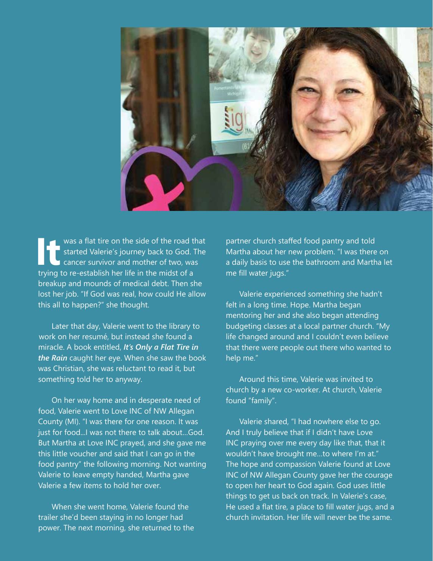

**It It It is a flat tire on the side of the road that**<br> **It is a flat tire on the side of the road that**<br> **It is a cancer survivor and mother of two, was<br>
trying to re-establish her life in the midst of a** started Valerie's journey back to God. The cancer survivor and mother of two, was trying to re-establish her life in the midst of a breakup and mounds of medical debt. Then she lost her job. "If God was real, how could He allow this all to happen?" she thought.

Later that day, Valerie went to the library to work on her resumé, but instead she found a miracle. A book entitled, *It's Only a Flat Tire in the Rain* caught her eye. When she saw the book was Christian, she was reluctant to read it, but something told her to anyway.

On her way home and in desperate need of food, Valerie went to Love INC of NW Allegan County (MI). "I was there for one reason. It was just for food...I was not there to talk about…God. But Martha at Love INC prayed, and she gave me this little voucher and said that I can go in the food pantry" the following morning. Not wanting Valerie to leave empty handed, Martha gave Valerie a few items to hold her over.

When she went home, Valerie found the trailer she'd been staying in no longer had power. The next morning, she returned to the partner church staffed food pantry and told Martha about her new problem. "I was there on a daily basis to use the bathroom and Martha let me fill water jugs."

Valerie experienced something she hadn't felt in a long time. Hope. Martha began mentoring her and she also began attending budgeting classes at a local partner church. "My life changed around and I couldn't even believe that there were people out there who wanted to help me."

Around this time, Valerie was invited to church by a new co-worker. At church, Valerie found "family".

Valerie shared, "I had nowhere else to go. And I truly believe that if I didn't have Love INC praying over me every day like that, that it wouldn't have brought me…to where I'm at." The hope and compassion Valerie found at Love INC of NW Allegan County gave her the courage to open her heart to God again. God uses little things to get us back on track. In Valerie's case, He used a flat tire, a place to fill water jugs, and a church invitation. Her life will never be the same.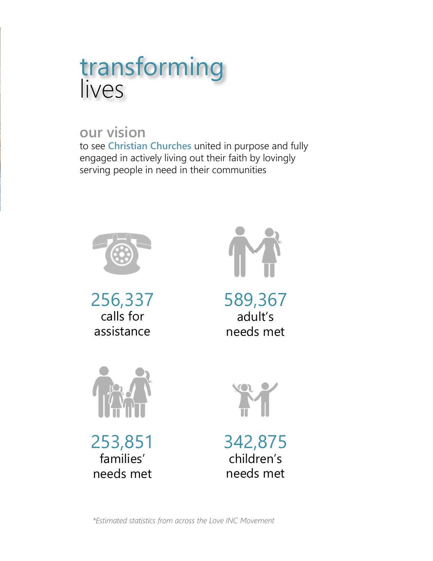## transforming lives

### **our vision**

to see **Christian Churches** united in purpose and fully engaged in actively living out their faith by lovingly serving people in need in their communities



256,337 calls for assistance



589,367 adult's needs met



253,851 families' needs met





*\*Estimated statistics from across the Love INC Movement*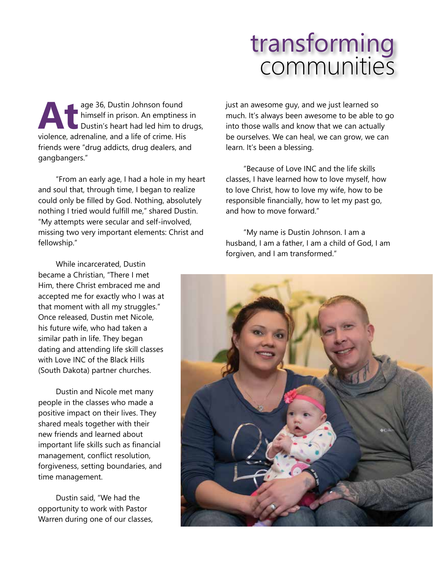## transforming communities

age 36, Dustin Johnson found<br>
himself in prison. An emptiness<br>
Dustin's heart had led him to dividence, adrenaline, and a life of crime. His himself in prison. An emptiness in Dustin's heart had led him to drugs, friends were "drug addicts, drug dealers, and gangbangers."

"From an early age, I had a hole in my heart and soul that, through time, I began to realize could only be filled by God. Nothing, absolutely nothing I tried would fulfill me," shared Dustin. "My attempts were secular and self-involved, missing two very important elements: Christ and fellowship."

While incarcerated, Dustin became a Christian, "There I met Him, there Christ embraced me and accepted me for exactly who I was at that moment with all my struggles." Once released, Dustin met Nicole, his future wife, who had taken a similar path in life. They began dating and attending life skill classes with Love INC of the Black Hills (South Dakota) partner churches.

Dustin and Nicole met many people in the classes who made a positive impact on their lives. They shared meals together with their new friends and learned about important life skills such as financial management, conflict resolution, forgiveness, setting boundaries, and time management.

Dustin said, "We had the opportunity to work with Pastor Warren during one of our classes, just an awesome guy, and we just learned so much. It's always been awesome to be able to go into those walls and know that we can actually be ourselves. We can heal, we can grow, we can learn. It's been a blessing.

"Because of Love INC and the life skills classes, I have learned how to love myself, how to love Christ, how to love my wife, how to be responsible financially, how to let my past go, and how to move forward."

"My name is Dustin Johnson. I am a husband, I am a father, I am a child of God, I am forgiven, and I am transformed."

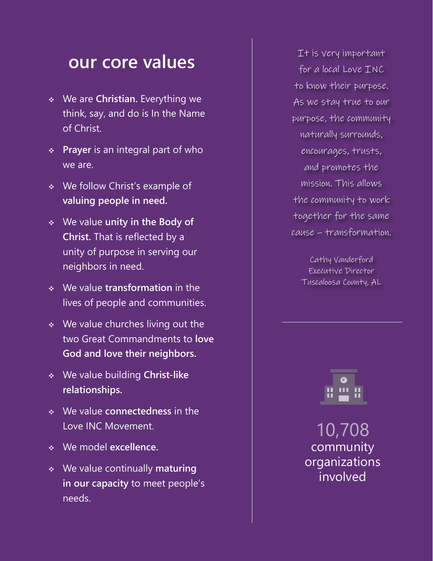## **our core values**

- v We are **Christian.** Everything we think, say, and do is In the Name of Christ.
- v **Prayer** is an integral part of who we are.
- v We follow Christ's example of **valuing people in need.**
- v We value **unity in the Body of Christ.** That is reflected by a unity of purpose in serving our neighbors in need.
- v We value **transformation** in the lives of people and communities.
- $\cdot$  We value churches living out the two Great Commandments to **love God and love their neighbors.**
- v We value building **Christ-like relationships.**
- v We value **connectedness** in the Love INC Movement.
- v We model **excellence.**
- v We value continually **maturing in our capacity** to meet people's needs.

It is very important for a local Love INC to know their purpose. As we stay true to our purpose, the community naturally surrounds, encourages, trusts, and promotes the mission. This allows the community to work together for the same cause – transformation.

Cathy Vanderford Executive Director Tuscaloosa County, AL



10,708 community organizations involved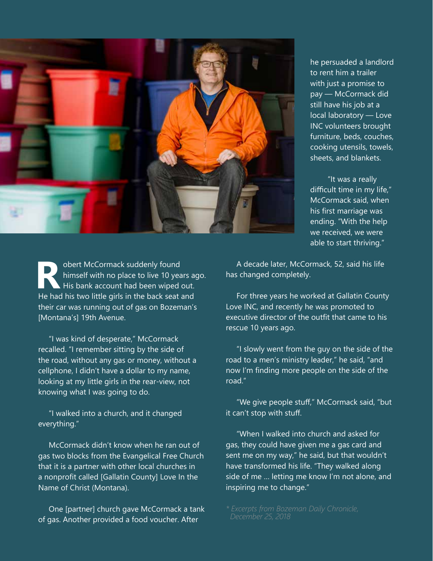

he persuaded a landlord to rent him a trailer with just a promise to pay — McCormack did still have his job at a local laboratory — Love INC volunteers brought furniture, beds, couches, cooking utensils, towels, sheets, and blankets.

"It was a really difficult time in my life," McCormack said, when his first marriage was ending. "With the help we received, we were able to start thriving."

**Robert McCormack suddenly found<br>himself with no place to live 10 yea<br>He had his two little girls in the back seat at** himself with no place to live 10 years ago. His bank account had been wiped out. He had his two little girls in the back seat and their car was running out of gas on Bozeman's [Montana's] 19th Avenue.

"I was kind of desperate," McCormack recalled. "I remember sitting by the side of the road, without any gas or money, without a cellphone, I didn't have a dollar to my name, looking at my little girls in the rear-view, not knowing what I was going to do.

"I walked into a church, and it changed everything."

McCormack didn't know when he ran out of gas two blocks from the Evangelical Free Church that it is a partner with other local churches in a nonprofit called [Gallatin County] Love In the Name of Christ (Montana).

One [partner] church gave McCormack a tank of gas. Another provided a food voucher. After

A decade later, McCormack, 52, said his life has changed completely.

 For three years he worked at Gallatin County Love INC, and recently he was promoted to executive director of the outfit that came to his rescue 10 years ago.

 "I slowly went from the guy on the side of the road to a men's ministry leader," he said, "and now I'm finding more people on the side of the road."

 "We give people stuff," McCormack said, "but it can't stop with stuff.

"When I walked into church and asked for gas, they could have given me a gas card and sent me on my way," he said, but that wouldn't have transformed his life. "They walked along side of me … letting me know I'm not alone, and inspiring me to change."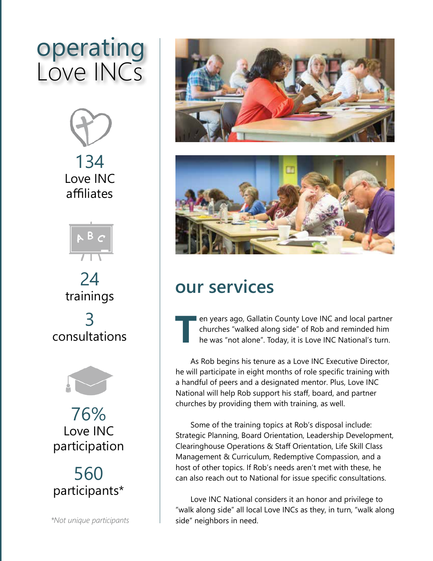# operating Love INCs







76% Love INC participation



*\*Not unique participants*





## **our services**

**TERN EXECUTE:** The years ago, Gallatin County Love INC and local partner churches "walked along side" of Rob and reminded him he was "not alone". Today, it is Love INC National's turn. churches "walked along side" of Rob and reminded him he was "not alone". Today, it is Love INC National's turn.

As Rob begins his tenure as a Love INC Executive Director, he will participate in eight months of role specific training with a handful of peers and a designated mentor. Plus, Love INC National will help Rob support his staff, board, and partner churches by providing them with training, as well.

Some of the training topics at Rob's disposal include: Strategic Planning, Board Orientation, Leadership Development, Clearinghouse Operations & Staff Orientation, Life Skill Class Management & Curriculum, Redemptive Compassion, and a host of other topics. If Rob's needs aren't met with these, he can also reach out to National for issue specific consultations.

Love INC National considers it an honor and privilege to "walk along side" all local Love INCs as they, in turn, "walk along side" neighbors in need.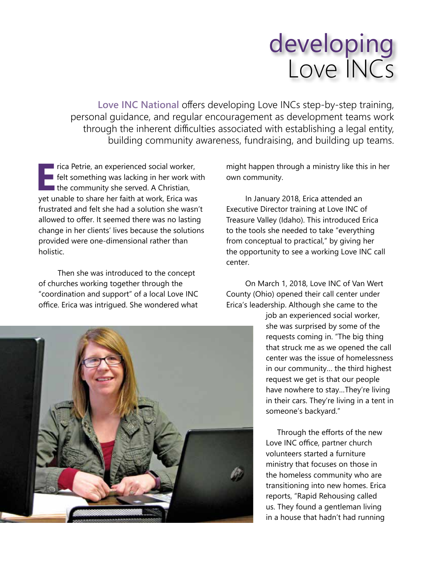# developing Love INCs

**Love INC National** offers developing Love INCs step-by-step training, personal guidance, and regular encouragement as development teams work through the inherent difficulties associated with establishing a legal entity, building community awareness, fundraising, and building up teams.

**Exercise Petrie, an experienced social worker,**<br>**EPRIME:** The something was lacking in her work with the community she served. A Christian,<br>vet unable to share her faith at work. Frica was felt something was lacking in her work with I the community she served. A Christian, yet unable to share her faith at work, Erica was frustrated and felt she had a solution she wasn't allowed to offer. It seemed there was no lasting change in her clients' lives because the solutions provided were one-dimensional rather than holistic.

Then she was introduced to the concept of churches working together through the "coordination and support" of a local Love INC office. Erica was intrigued. She wondered what



might happen through a ministry like this in her own community.

In January 2018, Erica attended an Executive Director training at Love INC of Treasure Valley (Idaho). This introduced Erica to the tools she needed to take "everything from conceptual to practical," by giving her the opportunity to see a working Love INC call center.

On March 1, 2018, Love INC of Van Wert County (Ohio) opened their call center under Erica's leadership. Although she came to the

> job an experienced social worker, she was surprised by some of the requests coming in. "The big thing that struck me as we opened the call center was the issue of homelessness in our community… the third highest request we get is that our people have nowhere to stay…They're living in their cars. They're living in a tent in someone's backyard."

Through the efforts of the new Love INC office, partner church volunteers started a furniture ministry that focuses on those in the homeless community who are transitioning into new homes. Erica reports, "Rapid Rehousing called us. They found a gentleman living in a house that hadn't had running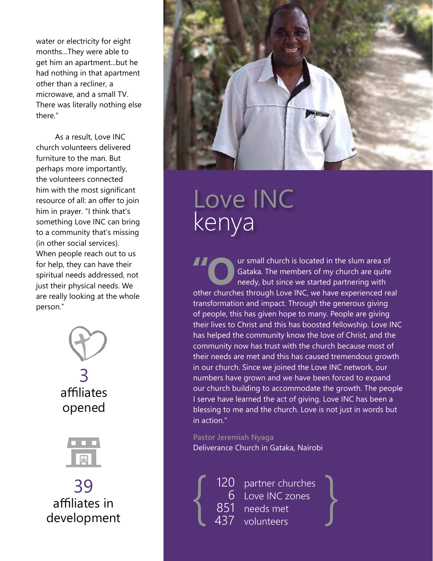water or electricity for eight months…They were able to get him an apartment...but he had nothing in that apartment other than a recliner, a microwave, and a small TV. There was literally nothing else there."

As a result, Love INC church volunteers delivered furniture to the man. But perhaps more importantly, the volunteers connected him with the most significant resource of all: an offer to join him in prayer. "I think that's something Love INC can bring to a community that's missing (in other social services). When people reach out to us for help, they can have their spiritual needs addressed, not just their physical needs. We are really looking at the whole person."





39 affiliates in development



# Love INC kenya

I all church is located in the slum area of<br>Gataka. The members of my church are quite<br>needy, but since we started partnering with<br>other churches through I ove INC we have experienced rea Gataka. The members of my church are quite needy, but since we started partnering with other churches through Love INC, we have experienced real transformation and impact. Through the generous giving of people, this has given hope to many. People are giving their lives to Christ and this has boosted fellowship. Love INC has helped the community know the love of Christ, and the community now has trust with the church because most of their needs are met and this has caused tremendous growth in our church. Since we joined the Love INC network, our numbers have grown and we have been forced to expand our church building to accommodate the growth. The people I serve have learned the act of giving. Love INC has been a blessing to me and the church. Love is not just in words but in action."

#### **Pastor Jeremiah Nyaga**

Deliverance Church in Gataka, Nairobi

120 partner churches 6 Love INC zones<br>851 needs met 120 partner churches<br>
6 Love INC zones<br>
851 needs met<br>
437 volunteers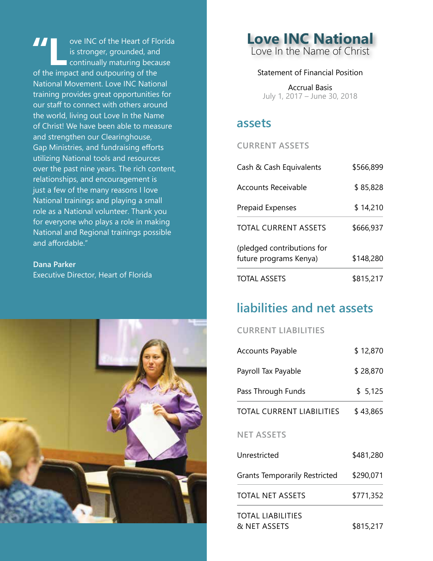**TAN OVE INC of the Heart of Florida<br>is stronger, grounded, and<br>continually maturing because<br>of the impact and outpouring of the** is stronger, grounded, and continually maturing because of the impact and outpouring of the National Movement. Love INC National training provides great opportunities for our staff to connect with others around the world, living out Love In the Name of Christ! We have been able to measure and strengthen our Clearinghouse, Gap Ministries, and fundraising efforts utilizing National tools and resources over the past nine years. The rich content, relationships, and encouragement is just a few of the many reasons I love National trainings and playing a small role as a National volunteer. Thank you for everyone who plays a role in making National and Regional trainings possible and affordable."

**Dana Parker** Executive Director, Heart of Florida



**Love INC National** Love In the Name of Christ

#### Statement of Financial Position

Accrual Basis July 1, 2017 – June 30, 2018

### **assets**

**CURRENT ASSETS**

| \$566,899<br>Cash & Cash Equivalents                 |           |
|------------------------------------------------------|-----------|
| Accounts Receivable                                  | \$85,828  |
| <b>Prepaid Expenses</b>                              | \$14,210  |
| TOTAL CURRENT ASSETS                                 | \$666,937 |
| (pledged contributions for<br>future programs Kenya) | \$148,280 |
| <b>TOTAL ASSETS</b>                                  | \$815,217 |

### **liabilities and net assets**

### **CURRENT LIABILITIES**

| \$12,870<br><b>Accounts Payable</b>               |           |
|---------------------------------------------------|-----------|
| Payroll Tax Payable                               | \$28,870  |
| Pass Through Funds                                | \$5,125   |
| <b>TOTAL CURRENT LIABILITIES</b>                  | \$43,865  |
| <b>NET ASSETS</b>                                 |           |
| Unrestricted                                      | \$481,280 |
| <b>Grants Temporarily Restricted</b><br>\$290,071 |           |
| <b>TOTAL NET ASSETS</b>                           | \$771,352 |
| <b>TOTAL LIABILITIES</b><br>& NET ASSETS          | \$815,217 |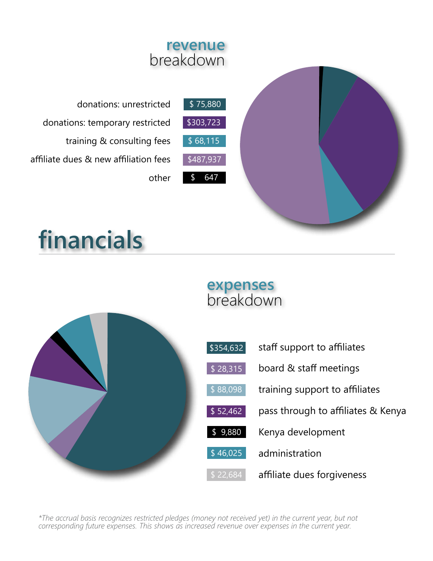

# **financials**

## **expenses** breakdown

| \$354,632 | staff support to affiliates        |
|-----------|------------------------------------|
| \$28,315  | board & staff meetings             |
| \$88,098  | training support to affiliates     |
| \$52,462  | pass through to affiliates & Kenya |
| \$9,880   | Kenya development                  |
| \$46,025  | administration                     |
| \$22,684  | affiliate dues forgiveness         |

*\*The accrual basis recognizes restricted pledges (money not received yet) in the current year, but not corresponding future expenses. This shows as increased revenue over expenses in the current year.*